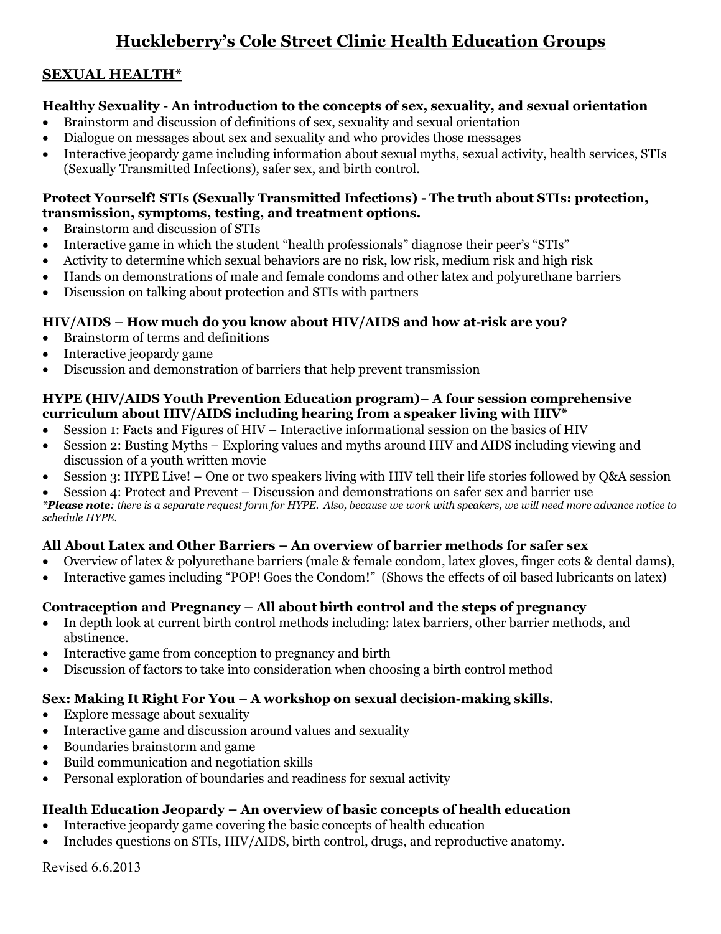# Huckleberry's Cole Street Clinic Health Education Groups

# SEXUAL HEALTH\*

# Healthy Sexuality An introduction to the concepts of sex, sexuality, and sexual orientation

- Brainstorm and discussion of definitions of sex, sexuality and sexual orientation
- Dialogue on messages about sex and sexuality and who provides those messages
- Interactive jeopardy game including information about sexual myths, sexual activity, health services, STIs (Sexually Transmitted Infections), safer sex, and birth control.

## Protect Yourself! STIs (Sexually Transmitted Infections) The truth about STIs: protection, transmission, symptoms, testing, and treatment options.

- Brainstorm and discussion of STIs
- Interactive game in which the student "health professionals" diagnose their peer's "STIs"
- Activity to determine which sexual behaviors are no risk, low risk, medium risk and high risk
- Hands on demonstrations of male and female condoms and other latex and polyurethane barriers
- Discussion on talking about protection and STIs with partners

# HIV/AIDS – How much do you know about HIV/AIDS and how at-risk are you?

- Brainstorm of terms and definitions
- Interactive jeopardy game
- Discussion and demonstration of barriers that help prevent transmission

## HYPE (HIV/AIDS Youth Prevention Education program)– A four session comprehensive curriculum about HIV/AIDS including hearing from a speaker living with  $HIV^*$

- Session 1: Facts and Figures of HIV Interactive informational session on the basics of HIV
- Session 2: Busting Myths Exploring values and myths around HIV and AIDS including viewing and discussion of a youth written movie
- Session 3: HYPE Live! One or two speakers living with HIV tell their life stories followed by Q&A session
- Session 4: Protect and Prevent Discussion and demonstrations on safer sex and barrier use

\*Please note: there is a separate request form for HYPE. Also, because we work with speakers, we will need more advance notice to schedule HYPE.

# All About Latex and Other Barriers – An overview of barrier methods for safer sex

- Overview of latex & polyurethane barriers (male & female condom, latex gloves, finger cots & dental dams),
- Interactive games including "POP! Goes the Condom!" (Shows the effects of oil based lubricants on latex)

# Contraception and Pregnancy – All about birth control and the steps of pregnancy

- In depth look at current birth control methods including: latex barriers, other barrier methods, and abstinence.
- Interactive game from conception to pregnancy and birth
- Discussion of factors to take into consideration when choosing a birth control method

## Sex: Making It Right For You – A workshop on sexual decision-making skills.

- Explore message about sexuality
- Interactive game and discussion around values and sexuality
- Boundaries brainstorm and game
- Build communication and negotiation skills
- Personal exploration of boundaries and readiness for sexual activity

## Health Education Jeopardy – An overview of basic concepts of health education

- Interactive jeopardy game covering the basic concepts of health education
- Includes questions on STIs, HIV/AIDS, birth control, drugs, and reproductive anatomy.

Revised 6.6.2013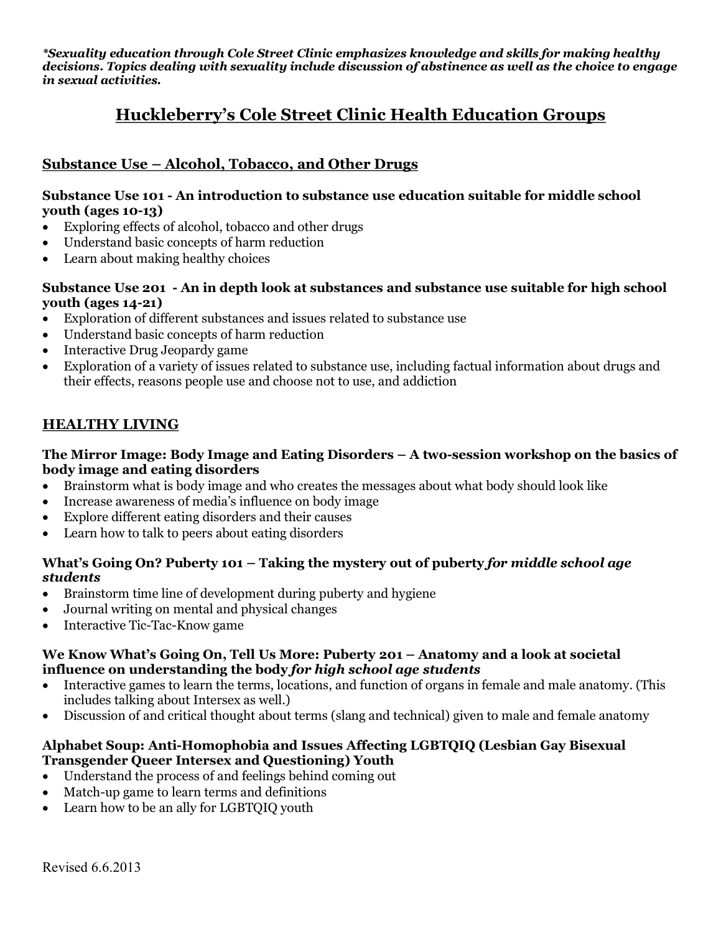\*Sexuality education through Cole Street Clinic emphasizes knowledge and skills for making healthy decisions. Topics dealing with sexuality include discussion of abstinence as well as the choice to engage in sexual activities.

# Huckleberry's Cole Street Clinic Health Education Groups

# Substance Use – Alcohol, Tobacco, and Other Drugs

#### Substance Use 101 An introduction to substance use education suitable for middle school  $\gamma$  vouth (ages 10-13)

- Exploring effects of alcohol, tobacco and other drugs
- Understand basic concepts of harm reduction
- Learn about making healthy choices

#### Substance Use 201 An in depth look at substances and substance use suitable for high school youth  $(ages 14-21)$

- Exploration of different substances and issues related to substance use
- Understand basic concepts of harm reduction
- Interactive Drug Jeopardy game
- Exploration of a variety of issues related to substance use, including factual information about drugs and their effects, reasons people use and choose not to use, and addiction

# HEALTHY LIVING

#### The Mirror Image: Body Image and Eating Disorders  $-A$  two-session workshop on the basics of body image and eating disorders

- Brainstorm what is body image and who creates the messages about what body should look like
- Increase awareness of media's influence on body image
- Explore different eating disorders and their causes
- Learn how to talk to peers about eating disorders

## What's Going On? Puberty 101 – Taking the mystery out of puberty for middle school age students

- Brainstorm time line of development during puberty and hygiene
- Journal writing on mental and physical changes
- $\bullet$  Interactive Tic-Tac-Know game

#### We Know What's Going On, Tell Us More: Puberty 201 – Anatomy and a look at societal influence on understanding the body for high school age students

- Interactive games to learn the terms, locations, and function of organs in female and male anatomy. (This includes talking about Intersex as well.)
- Discussion of and critical thought about terms (slang and technical) given to male and female anatomy

## Alphabet Soup: Anti-Homophobia and Issues Affecting LGBTQIQ (Lesbian Gay Bisexual Transgender Queer Intersex and Questioning) Youth

- Understand the process of and feelings behind coming out
- $\bullet$  Match-up game to learn terms and definitions
- Learn how to be an ally for LGBTOIO youth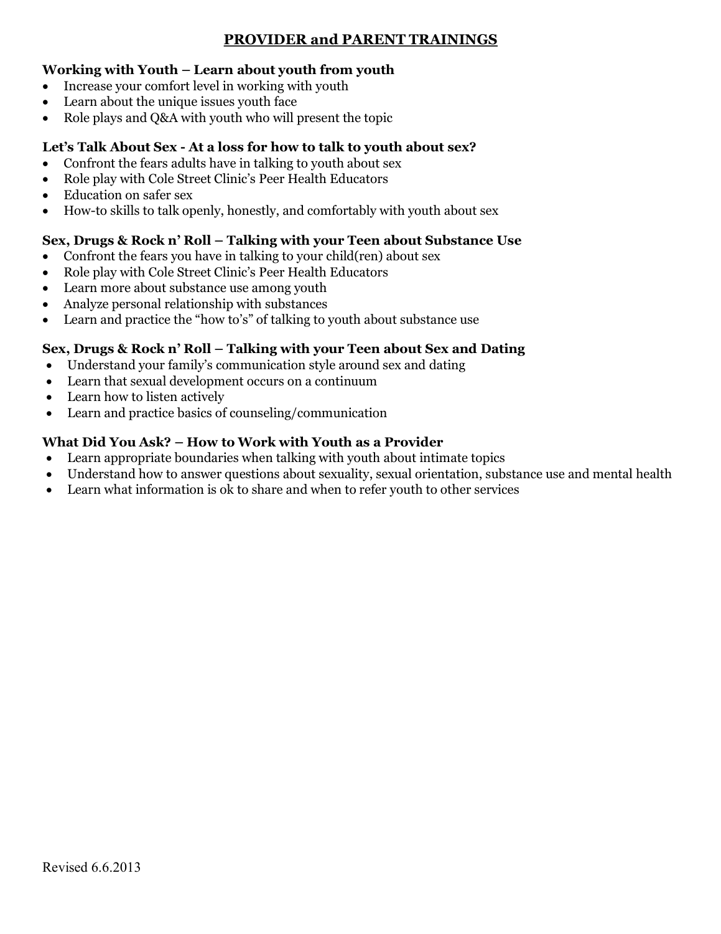# PROVIDER and PARENT TRAININGS

### Working with Youth – Learn about youth from youth

- Increase your comfort level in working with youth
- Learn about the unique issues youth face
- Role plays and Q&A with youth who will present the topic

## Let's Talk About Sex - At a loss for how to talk to youth about sex?

- Confront the fears adults have in talking to youth about sex
- Role play with Cole Street Clinic's Peer Health Educators
- Education on safer sex
- How-to skills to talk openly, honestly, and comfortably with youth about sex

## Sex, Drugs & Rock n' Roll – Talking with your Teen about Substance Use

- Confront the fears you have in talking to your child(ren) about sex
- Role play with Cole Street Clinic's Peer Health Educators
- Learn more about substance use among youth
- Analyze personal relationship with substances
- Learn and practice the "how to's" of talking to youth about substance use

## Sex, Drugs & Rock n' Roll – Talking with your Teen about Sex and Dating

- Understand your family's communication style around sex and dating
- Learn that sexual development occurs on a continuum
- Learn how to listen actively
- Learn and practice basics of counseling/communication

## What Did You Ask? – How to Work with Youth as a Provider

- Learn appropriate boundaries when talking with youth about intimate topics
- Understand how to answer questions about sexuality, sexual orientation, substance use and mental health
- Learn what information is ok to share and when to refer youth to other services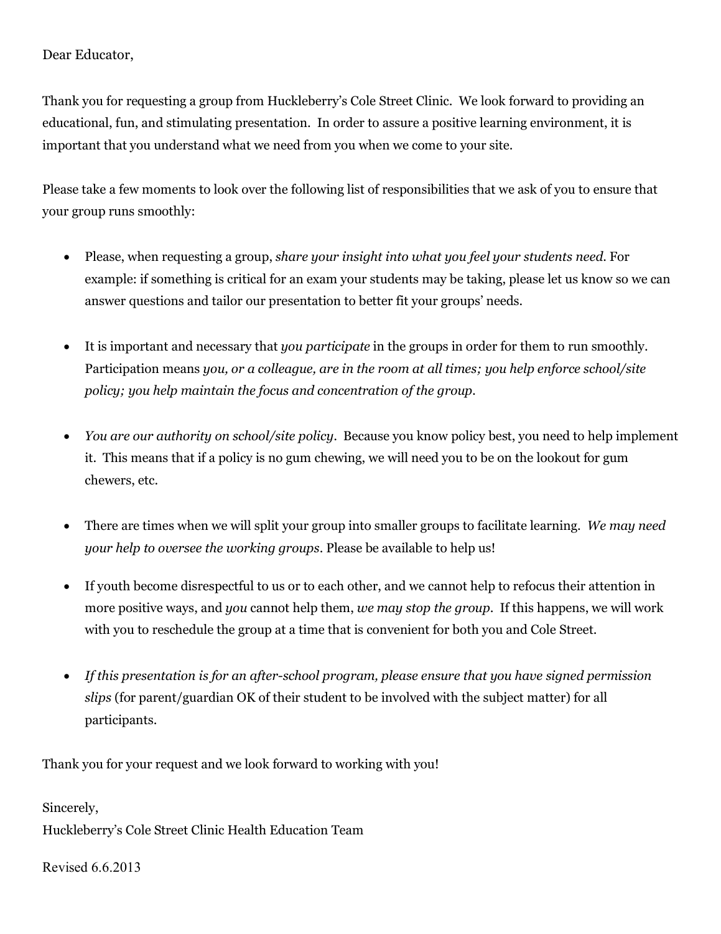# Dear Educator,

Thank you for requesting a group from Huckleberry's Cole Street Clinic. We look forward to providing an educational, fun, and stimulating presentation. In order to assure a positive learning environment, it is important that you understand what we need from you when we come to your site.

Please take a few moments to look over the following list of responsibilities that we ask of you to ensure that your group runs smoothly:

- Please, when requesting a group, *share your insight into what you feel your students need.* For example: if something is critical for an exam your students may be taking, please let us know so we can answer questions and tailor our presentation to better fit your groups' needs.
- It is important and necessary that *you participate* in the groups in order for them to run smoothly. Participation means you, or a colleague, are in the room at all times; you help enforce school/site policy; you help maintain the focus and concentration of the group.
- You are our authority on school/site policy. Because you know policy best, you need to help implement it. This means that if a policy is no gum chewing, we will need you to be on the lookout for gum chewers, etc.
- There are times when we will split your group into smaller groups to facilitate learning. We may need your help to oversee the working groups. Please be available to help us!
- If youth become disrespectful to us or to each other, and we cannot help to refocus their attention in more positive ways, and you cannot help them, we may stop the group. If this happens, we will work with you to reschedule the group at a time that is convenient for both you and Cole Street.
- If this presentation is for an after-school program, please ensure that you have signed permission slips (for parent/guardian OK of their student to be involved with the subject matter) for all participants.

Thank you for your request and we look forward to working with you!

Sincerely, Huckleberry's Cole Street Clinic Health Education Team

Revised 6.6.2013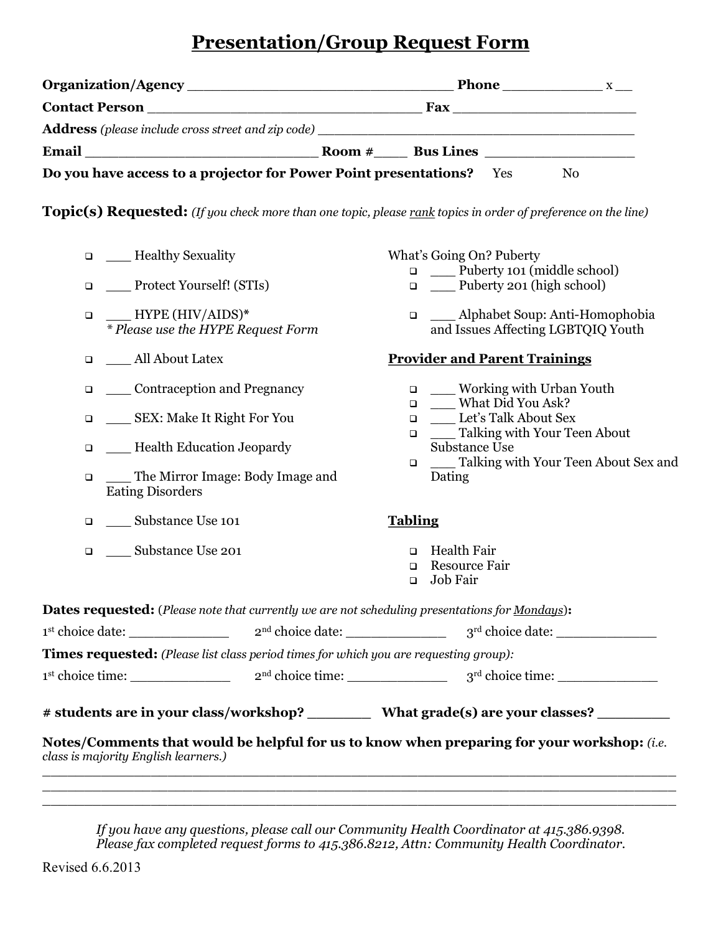# Presentation/Group Request Form

| Do you have access to a projector for Power Point presentations? Yes                                                                | N <sub>0</sub>                                                             |
|-------------------------------------------------------------------------------------------------------------------------------------|----------------------------------------------------------------------------|
| <b>Topic(s) Requested:</b> (If you check more than one topic, please $\frac{rank}{k}$ topics in order of preference on the line)    |                                                                            |
| - Healthy Sexuality<br>$\Box$                                                                                                       | What's Going On? Puberty<br>$\Box$ Puberty 101 (middle school)             |
| ___ Protect Yourself! (STIs)<br>$\Box$                                                                                              | $\Box$ Puberty 201 (high school)                                           |
| $\frac{1}{2}$ HYPE (HIV/AIDS)*<br>$\Box$<br>* Please use the HYPE Request Form                                                      | □ ___ Alphabet Soup: Anti-Homophobia<br>and Issues Affecting LGBTQIQ Youth |
| _____ All About Latex<br>$\Box$                                                                                                     | <b>Provider and Parent Trainings</b>                                       |
| Contraception and Pregnancy<br>$\Box$                                                                                               | $\Box$ Working with Urban Youth<br>$\Box$ What Did You Ask?                |
| ____ SEX: Make It Right For You<br>$\Box$                                                                                           | □ Let's Talk About Sex<br>□ ____ Talking with Your Teen About              |
| ___ Health Education Jeopardy<br>$\Box$                                                                                             | Substance Use                                                              |
| __ The Mirror Image: Body Image and<br>$\Box$<br><b>Eating Disorders</b>                                                            | □ ___ Talking with Your Teen About Sex and<br>Dating                       |
| Substance Use 101<br>$\Box$                                                                                                         | <b>Tabling</b>                                                             |
| Substance Use 201<br>$\Box$                                                                                                         | □ Health Fair<br><b>Resource Fair</b><br>$\Box$<br>Job Fair<br>$\Box$      |
| <b>Dates requested:</b> (Please note that currently we are not scheduling presentations for <i>Mondays</i> ):                       |                                                                            |
| $1st$ choice date: $2nd$ choice date: $3rd$ choice date: $3rd$ choice date:                                                         |                                                                            |
| <b>Times requested:</b> (Please list class period times for which you are requesting group):                                        |                                                                            |
| $1st$ choice time: $2nd$ choice time: $3rd$ choice time: $3rd$ choice time:                                                         |                                                                            |
|                                                                                                                                     |                                                                            |
| Notes/Comments that would be helpful for us to know when preparing for your workshop: (i.e.<br>class is majority English learners.) |                                                                            |

If you have any questions, please call our Community Health Coordinator at 415.386.9398. Please fax completed request forms to 415.386.8212, Attn: Community Health Coordinator.

\_\_\_\_\_\_\_\_\_\_\_\_\_\_\_\_\_\_\_\_\_\_\_\_\_\_\_\_\_\_\_\_\_\_\_\_\_\_\_\_\_\_\_\_\_\_\_\_\_\_\_\_\_\_\_\_\_\_\_\_\_\_\_\_\_\_\_\_\_\_\_\_\_\_\_\_ \_\_\_\_\_\_\_\_\_\_\_\_\_\_\_\_\_\_\_\_\_\_\_\_\_\_\_\_\_\_\_\_\_\_\_\_\_\_\_\_\_\_\_\_\_\_\_\_\_\_\_\_\_\_\_\_\_\_\_\_\_\_\_\_\_\_\_\_\_\_\_\_\_\_\_\_ \_\_\_\_\_\_\_\_\_\_\_\_\_\_\_\_\_\_\_\_\_\_\_\_\_\_\_\_\_\_\_\_\_\_\_\_\_\_\_\_\_\_\_\_\_\_\_\_\_\_\_\_\_\_\_\_\_\_\_\_\_\_\_\_\_\_\_\_\_\_\_\_\_\_\_\_